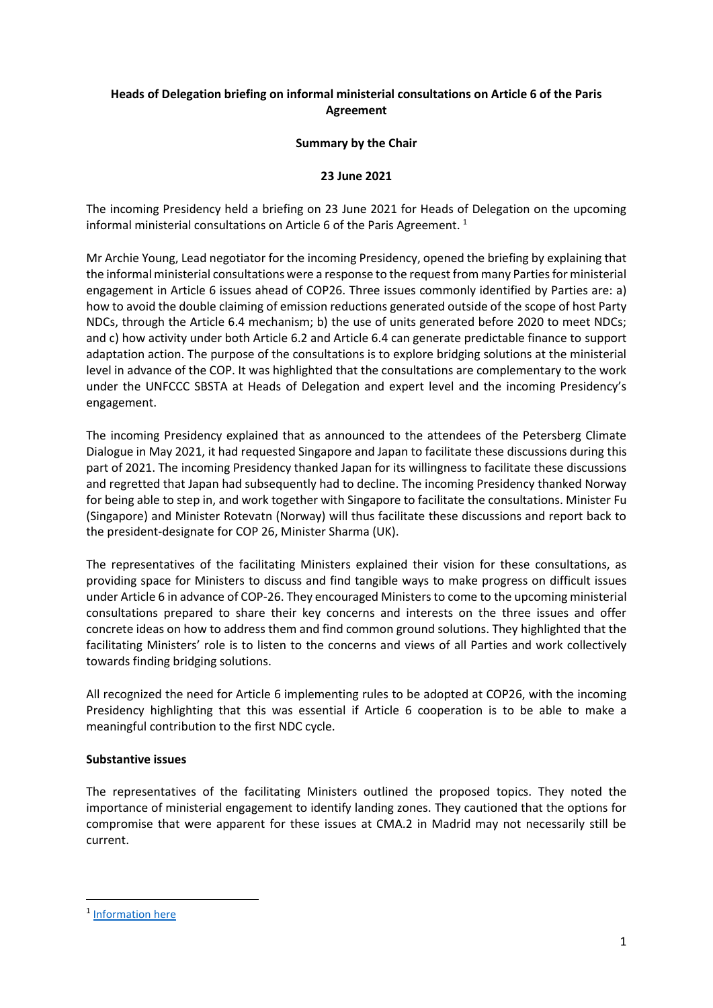# **Heads of Delegation briefing on informal ministerial consultations on Article 6 of the Paris Agreement**

### **Summary by the Chair**

## **23 June 2021**

The incoming Presidency held a briefing on 23 June 2021 for Heads of Delegation on the upcoming informal ministerial consultations on Article 6 of the Paris Agreement.<sup>1</sup>

Mr Archie Young, Lead negotiator for the incoming Presidency, opened the briefing by explaining that the informal ministerial consultations were a response to the request from many Parties for ministerial engagement in Article 6 issues ahead of COP26. Three issues commonly identified by Parties are: a) how to avoid the double claiming of emission reductions generated outside of the scope of host Party NDCs, through the Article 6.4 mechanism; b) the use of units generated before 2020 to meet NDCs; and c) how activity under both Article 6.2 and Article 6.4 can generate predictable finance to support adaptation action. The purpose of the consultations is to explore bridging solutions at the ministerial level in advance of the COP. It was highlighted that the consultations are complementary to the work under the UNFCCC SBSTA at Heads of Delegation and expert level and the incoming Presidency's engagement.

The incoming Presidency explained that as announced to the attendees of the Petersberg Climate Dialogue in May 2021, it had requested Singapore and Japan to facilitate these discussions during this part of 2021. The incoming Presidency thanked Japan for its willingness to facilitate these discussions and regretted that Japan had subsequently had to decline. The incoming Presidency thanked Norway for being able to step in, and work together with Singapore to facilitate the consultations. Minister Fu (Singapore) and Minister Rotevatn (Norway) will thus facilitate these discussions and report back to the president-designate for COP 26, Minister Sharma (UK).

The representatives of the facilitating Ministers explained their vision for these consultations, as providing space for Ministers to discuss and find tangible ways to make progress on difficult issues under Article 6 in advance of COP-26. They encouraged Ministers to come to the upcoming ministerial consultations prepared to share their key concerns and interests on the three issues and offer concrete ideas on how to address them and find common ground solutions. They highlighted that the facilitating Ministers' role is to listen to the concerns and views of all Parties and work collectively towards finding bridging solutions.

All recognized the need for Article 6 implementing rules to be adopted at COP26, with the incoming Presidency highlighting that this was essential if Article 6 cooperation is to be able to make a meaningful contribution to the first NDC cycle.

### **Substantive issues**

The representatives of the facilitating Ministers outlined the proposed topics. They noted the importance of ministerial engagement to identify landing zones. They cautioned that the options for compromise that were apparent for these issues at CMA.2 in Madrid may not necessarily still be current.

<sup>&</sup>lt;sup>1</sup> [Information here](https://unfccc.int/sites/default/files/resource/June%2023%20Briefing%20-%20Article%206%20Informal%20Ministerial%20Consultations.pdf)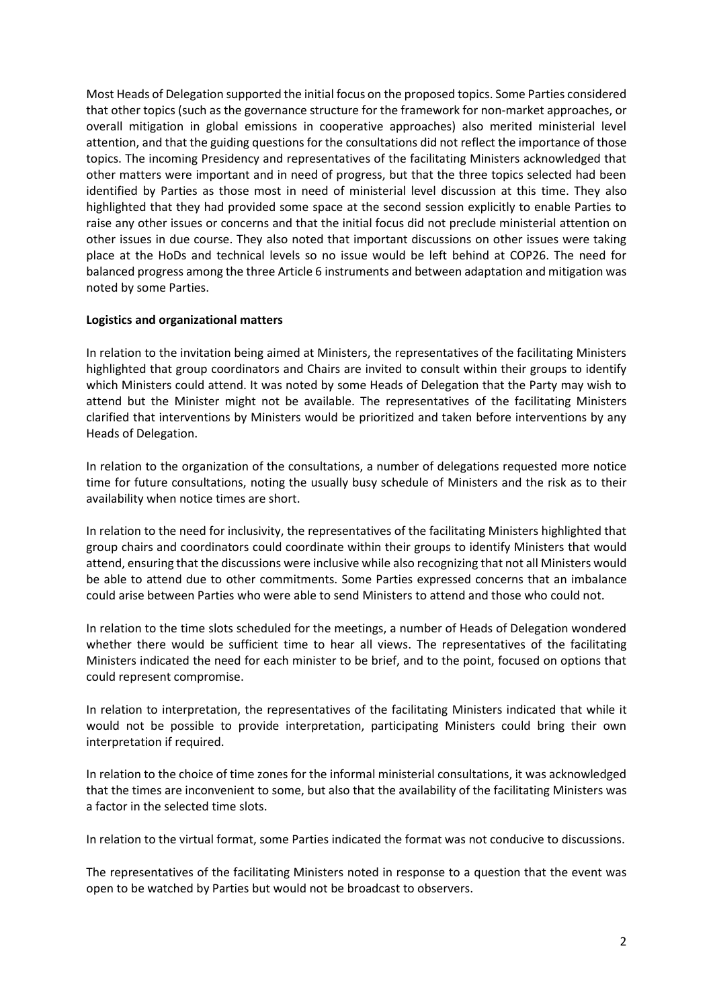Most Heads of Delegation supported the initial focus on the proposed topics. Some Parties considered that other topics (such as the governance structure for the framework for non-market approaches, or overall mitigation in global emissions in cooperative approaches) also merited ministerial level attention, and that the guiding questions for the consultations did not reflect the importance of those topics. The incoming Presidency and representatives of the facilitating Ministers acknowledged that other matters were important and in need of progress, but that the three topics selected had been identified by Parties as those most in need of ministerial level discussion at this time. They also highlighted that they had provided some space at the second session explicitly to enable Parties to raise any other issues or concerns and that the initial focus did not preclude ministerial attention on other issues in due course. They also noted that important discussions on other issues were taking place at the HoDs and technical levels so no issue would be left behind at COP26. The need for balanced progress among the three Article 6 instruments and between adaptation and mitigation was noted by some Parties.

## **Logistics and organizational matters**

In relation to the invitation being aimed at Ministers, the representatives of the facilitating Ministers highlighted that group coordinators and Chairs are invited to consult within their groups to identify which Ministers could attend. It was noted by some Heads of Delegation that the Party may wish to attend but the Minister might not be available. The representatives of the facilitating Ministers clarified that interventions by Ministers would be prioritized and taken before interventions by any Heads of Delegation.

In relation to the organization of the consultations, a number of delegations requested more notice time for future consultations, noting the usually busy schedule of Ministers and the risk as to their availability when notice times are short.

In relation to the need for inclusivity, the representatives of the facilitating Ministers highlighted that group chairs and coordinators could coordinate within their groups to identify Ministers that would attend, ensuring that the discussions were inclusive while also recognizing that not all Ministers would be able to attend due to other commitments. Some Parties expressed concerns that an imbalance could arise between Parties who were able to send Ministers to attend and those who could not.

In relation to the time slots scheduled for the meetings, a number of Heads of Delegation wondered whether there would be sufficient time to hear all views. The representatives of the facilitating Ministers indicated the need for each minister to be brief, and to the point, focused on options that could represent compromise.

In relation to interpretation, the representatives of the facilitating Ministers indicated that while it would not be possible to provide interpretation, participating Ministers could bring their own interpretation if required.

In relation to the choice of time zones for the informal ministerial consultations, it was acknowledged that the times are inconvenient to some, but also that the availability of the facilitating Ministers was a factor in the selected time slots.

In relation to the virtual format, some Parties indicated the format was not conducive to discussions.

The representatives of the facilitating Ministers noted in response to a question that the event was open to be watched by Parties but would not be broadcast to observers.